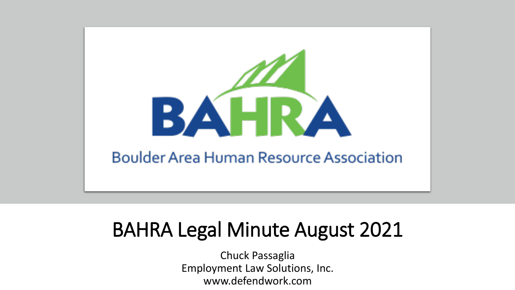

# BAHRA Legal Minute August 2021

Chuck Passaglia Employment Law Solutions, Inc. www.defendwork.com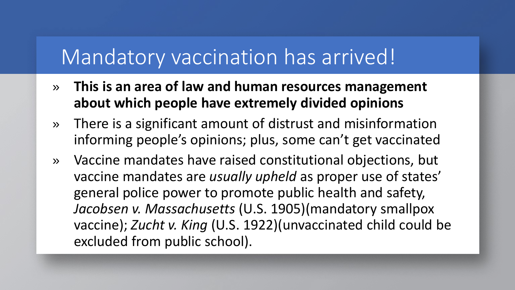#### Mandatory vaccination has arrived!

- » **This is an area of law and human resources management about which people have extremely divided opinions**
- » There is a significant amount of distrust and misinformation informing people's opinions; plus, some can't get vaccinated
- » Vaccine mandates have raised constitutional objections, but vaccine mandates are *usually upheld* as proper use of states' general police power to promote public health and safety, *Jacobsen v. Massachusetts* (U.S. 1905)(mandatory smallpox vaccine); *Zucht v. King* (U.S. 1922)(unvaccinated child could be excluded from public school).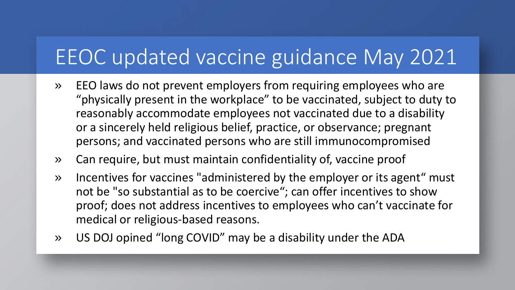# EEOC updated vaccine guidance May 2021

- » EEO laws do not prevent employers from requiring employees who are "physically present in the workplace" to be vaccinated, subject to duty to reasonably accommodate employees not vaccinated due to a disability or a sincerely held religious belief, practice, or observance; pregnant persons; and vaccinated persons who are still immunocompromised
- » Can require, but must maintain confidentiality of, vaccine proof
- » Incentives for vaccines "administered by the employer or its agent" must not be "so substantial as to be coercive"; can offer incentives to show proof; does not address incentives to employees who can't vaccinate for medical or religious-based reasons.
- » US DOJ opined "long COVID" may be a disability under the ADA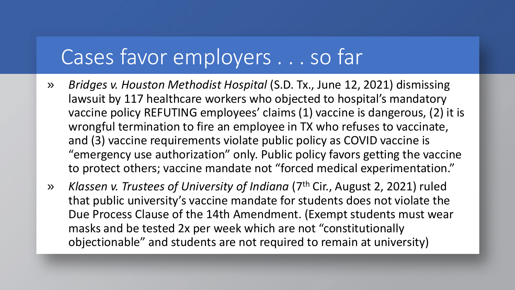## Cases favor employers . . . so far

- » *Bridges v. Houston Methodist Hospital* (S.D. Tx., June 12, 2021) dismissing lawsuit by 117 healthcare workers who objected to hospital's mandatory vaccine policy REFUTING employees' claims (1) vaccine is dangerous, (2) it is wrongful termination to fire an employee in TX who refuses to vaccinate, and (3) vaccine requirements violate public policy as COVID vaccine is "emergency use authorization" only. Public policy favors getting the vaccine to protect others; vaccine mandate not "forced medical experimentation."
- » *Klassen v. Trustees of University of Indiana* (7th Cir., August 2, 2021) ruled that public university's vaccine mandate for students does not violate the Due Process Clause of the 14th Amendment. (Exempt students must wear masks and be tested 2x per week which are not "constitutionally objectionable" and students are not required to remain at university)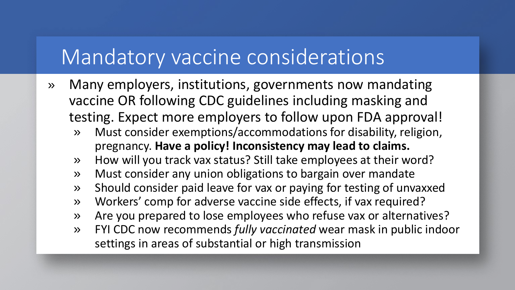#### Mandatory vaccine considerations

- » Many employers, institutions, governments now mandating vaccine OR following CDC guidelines including masking and testing. Expect more employers to follow upon FDA approval!
	- » Must consider exemptions/accommodations for disability, religion, pregnancy. **Have a policy! Inconsistency may lead to claims.**
	- » How will you track vax status? Still take employees at their word?
	- » Must consider any union obligations to bargain over mandate
	- » Should consider paid leave for vax or paying for testing of unvaxxed
	- » Workers' comp for adverse vaccine side effects, if vax required?
	- » Are you prepared to lose employees who refuse vax or alternatives?
	- » FYI CDC now recommends *fully vaccinated* wear mask in public indoor settings in areas of substantial or high transmission